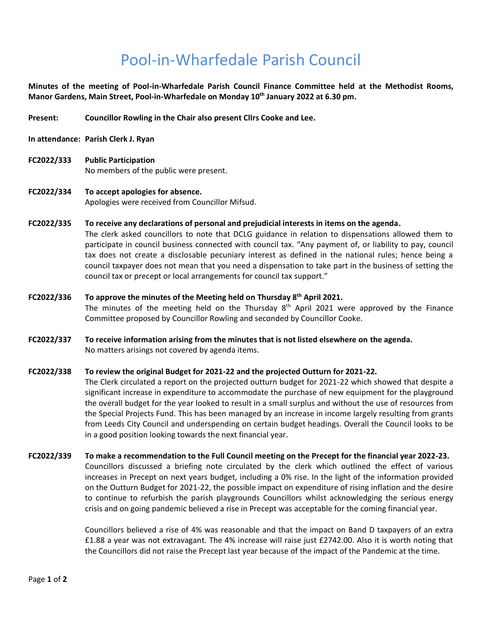## Pool-in-Wharfedale Parish Council

**Minutes of the meeting of Pool-in-Wharfedale Parish Council Finance Committee held at the Methodist Rooms, Manor Gardens, Main Street, Pool-in-Wharfedale on Monday 10th January 2022 at 6.30 pm.** 

**Present: Councillor Rowling in the Chair also present Cllrs Cooke and Lee.** 

- **In attendance: Parish Clerk J. Ryan**
- **FC2022/333 Public Participation**  No members of the public were present.
- **FC2022/334 To accept apologies for absence.** Apologies were received from Councillor Mifsud.
- **FC2022/335 To receive any declarations of personal and prejudicial interests in items on the agenda.** The clerk asked councillors to note that DCLG guidance in relation to dispensations allowed them to participate in council business connected with council tax. "Any payment of, or liability to pay, council tax does not create a disclosable pecuniary interest as defined in the national rules; hence being a council taxpayer does not mean that you need a dispensation to take part in the business of setting the council tax or precept or local arrangements for council tax support."
- **FC2022/336 To approve the minutes of the Meeting held on Thursday 8th April 2021.**  The minutes of the meeting held on the Thursday  $8<sup>th</sup>$  April 2021 were approved by the Finance Committee proposed by Councillor Rowling and seconded by Councillor Cooke.
- **FC2022/337 To receive information arising from the minutes that is not listed elsewhere on the agenda.** No matters arisings not covered by agenda items.

## **FC2022/338 To review the original Budget for 2021-22 and the projected Outturn for 2021-22.**

The Clerk circulated a report on the projected outturn budget for 2021-22 which showed that despite a significant increase in expenditure to accommodate the purchase of new equipment for the playground the overall budget for the year looked to result in a small surplus and without the use of resources from the Special Projects Fund. This has been managed by an increase in income largely resulting from grants from Leeds City Council and underspending on certain budget headings. Overall the Council looks to be in a good position looking towards the next financial year.

**FC2022/339 To make a recommendation to the Full Council meeting on the Precept for the financial year 2022-23.**  Councillors discussed a briefing note circulated by the clerk which outlined the effect of various increases in Precept on next years budget, including a 0% rise. In the light of the information provided on the Outturn Budget for 2021-22, the possible impact on expenditure of rising inflation and the desire to continue to refurbish the parish playgrounds Councillors whilst acknowledging the serious energy crisis and on going pandemic believed a rise in Precept was acceptable for the coming financial year.

> Councillors believed a rise of 4% was reasonable and that the impact on Band D taxpayers of an extra £1.88 a year was not extravagant. The 4% increase will raise just £2742.00. Also it is worth noting that the Councillors did not raise the Precept last year because of the impact of the Pandemic at the time.